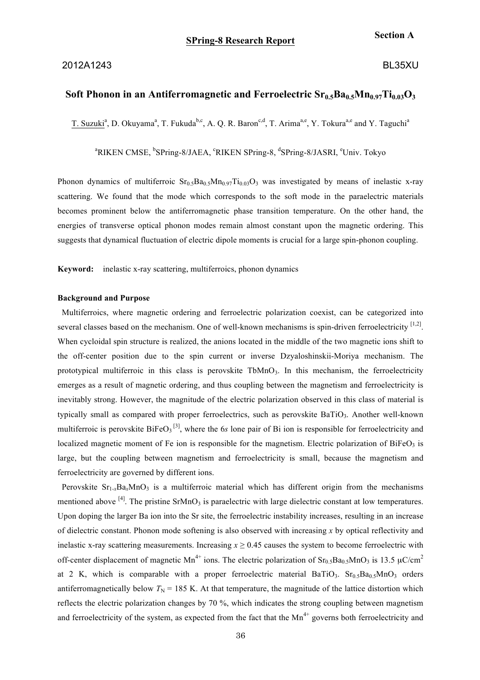### 2012A1243 BL35XU

## **Section A**

# Soft Phonon in an Antiferromagnetic and Ferroelectric  $Sr<sub>0.5</sub>Ba<sub>0.5</sub>Mn<sub>0.97</sub>Ti<sub>0.03</sub>O<sub>3</sub>$

T. Suzuki<sup>a</sup>, D. Okuyama<sup>a</sup>, T. Fukuda<sup>b,c</sup>, A. Q. R. Baron<sup>c,d</sup>, T. Arima<sup>a,e</sup>, Y. Tokura<sup>a,e</sup> and Y. Taguchi<sup>a</sup>

<sup>a</sup>RIKEN CMSE, <sup>b</sup>SPring-8/JAEA, <sup>c</sup>RIKEN SPring-8, <sup>d</sup>SPring-8/JASRI, <sup>e</sup>Univ. Tokyo

Phonon dynamics of multiferroic  $Sr<sub>0.5</sub>Ba<sub>0.5</sub>Mn<sub>0.97</sub>Ti<sub>0.03</sub>O<sub>3</sub>$  was investigated by means of inelastic x-ray scattering. We found that the mode which corresponds to the soft mode in the paraelectric materials becomes prominent below the antiferromagnetic phase transition temperature. On the other hand, the energies of transverse optical phonon modes remain almost constant upon the magnetic ordering. This suggests that dynamical fluctuation of electric dipole moments is crucial for a large spin-phonon coupling.

**Keyword:** inelastic x-ray scattering, multiferroics, phonon dynamics

#### **Background and Purpose**

Multiferroics, where magnetic ordering and ferroelectric polarization coexist, can be categorized into several classes based on the mechanism. One of well-known mechanisms is spin-driven ferroelectricity [1,2]. When cycloidal spin structure is realized, the anions located in the middle of the two magnetic ions shift to the off-center position due to the spin current or inverse Dzyaloshinskii-Moriya mechanism. The prototypical multiferroic in this class is perovskite TbMnO<sub>3</sub>. In this mechanism, the ferroelectricity emerges as a result of magnetic ordering, and thus coupling between the magnetism and ferroelectricity is inevitably strong. However, the magnitude of the electric polarization observed in this class of material is typically small as compared with proper ferroelectrics, such as perovskite BaTiO3. Another well-known multiferroic is perovskite  $B$ iFe $O_3$ <sup>[3]</sup>, where the 6*s* lone pair of Bi ion is responsible for ferroelectricity and localized magnetic moment of Fe ion is responsible for the magnetism. Electric polarization of  $BiFeO<sub>3</sub>$  is large, but the coupling between magnetism and ferroelectricity is small, because the magnetism and ferroelectricity are governed by different ions.

Perovskite  $Sr_{1-x}Ba_xMnO_3$  is a multiferroic material which has different origin from the mechanisms mentioned above  $^{[4]}$ . The pristine SrMnO<sub>3</sub> is paraelectric with large dielectric constant at low temperatures. Upon doping the larger Ba ion into the Sr site, the ferroelectric instability increases, resulting in an increase of dielectric constant. Phonon mode softening is also observed with increasing *x* by optical reflectivity and inelastic x-ray scattering measurements. Increasing  $x \ge 0.45$  causes the system to become ferroelectric with off-center displacement of magnetic Mn<sup>4+</sup> ions. The electric polarization of  $Sr<sub>0.5</sub>Ba<sub>0.5</sub>MnO<sub>3</sub>$  is 13.5  $\mu$ C/cm<sup>2</sup> at 2 K, which is comparable with a proper ferroelectric material BaTiO<sub>3</sub>. Sr<sub>0.5</sub>Ba<sub>0.5</sub>MnO<sub>3</sub> orders antiferromagnetically below  $T<sub>N</sub>$  = 185 K. At that temperature, the magnitude of the lattice distortion which reflects the electric polarization changes by 70 %, which indicates the strong coupling between magnetism and ferroelectricity of the system, as expected from the fact that the  $Mn^{4+}$  governs both ferroelectricity and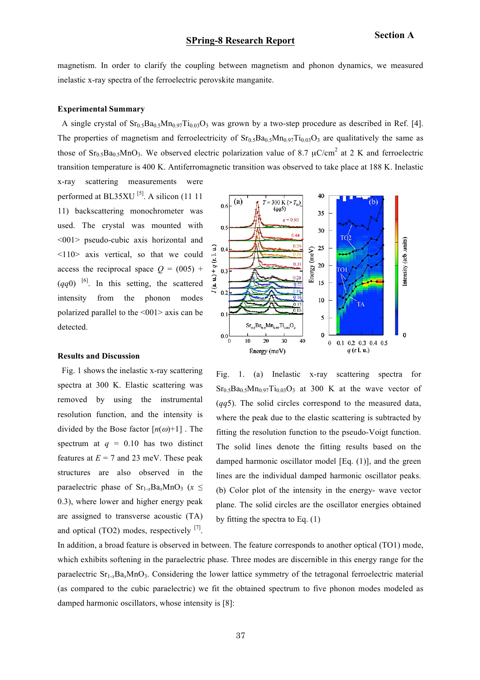ntensity (arb .units)

magnetism. In order to clarify the coupling between magnetism and phonon dynamics, we measured inelastic x-ray spectra of the ferroelectric perovskite manganite.

#### **Experimental Summary**

A single crystal of  $Sr<sub>0.5</sub>Ba<sub>0.5</sub>Mn<sub>0.97</sub>Ti<sub>0.03</sub>O<sub>3</sub>$  was grown by a two-step procedure as described in Ref. [4]. The properties of magnetism and ferroelectricity of  $Sr_0$ ,  $Ba_0$ ,  $Mn_0$ ,  $T1_0$ ,  $O_3$  are qualitatively the same as those of  $Sr_{0.5}Ba_{0.5}MnO_3$ . We observed electric polarization value of 8.7  $\mu$ C/cm<sup>2</sup> at 2 K and ferroelectric transition temperature is 400 K. Antiferromagnetic transition was observed to take place at 188 K. Inelastic

> $(a)$  $0<sub>6</sub>$

 $0.5$ 

 $0.4$ 

 $0.3$ 

 $u_{1} + q$  (r. l. u.)

r (a.  $0.2$ 

x-ray scattering measurements were performed at BL35XU  $^{[5]}$ . A silicon (11 11 11) backscattering monochrometer was used. The crystal was mounted with <001> pseudo-cubic axis horizontal and <110> axis vertical, so that we could access the reciprocal space  $Q = (005)$  +  $(qq0)$ <sup>[6]</sup>. In this setting, the scattered intensity from the phonon modes polarized parallel to the <001> axis can be detected.

#### **Results and Discussion**

Fig. 1 shows the inelastic x-ray scattering spectra at 300 K. Elastic scattering was removed by using the instrumental resolution function, and the intensity is divided by the Bose factor  $[n(\omega)+1]$ . The spectrum at  $q = 0.10$  has two distinct features at  $E = 7$  and 23 meV. These peak structures are also observed in the paraelectric phase of  $Sr_{1-x}Ba_xMnO_3$  ( $x \leq$ 0.3), where lower and higher energy peak are assigned to transverse acoustic (TA) and optical (TO2) modes, respectively  $^{[7]}$ .



40

35

30

25

20

 $15$ 

10

Energy (meV)

 $T = 300 \text{ K} (> T_{\rm N})$ 

 $q = 0.50$ 

 $0.44$ 

 $0.39$ 

 $(qq5)$ 

In addition, a broad feature is observed in between. The feature corresponds to another optical (TO1) mode, which exhibits softening in the paraelectric phase. Three modes are discernible in this energy range for the paraelectric  $S_{1-x}Ba_xMnO_3$ . Considering the lower lattice symmetry of the tetragonal ferroelectric material (as compared to the cubic paraelectric) we fit the obtained spectrum to five phonon modes modeled as damped harmonic oscillators, whose intensity is [8]:

by fitting the spectra to Eq. (1)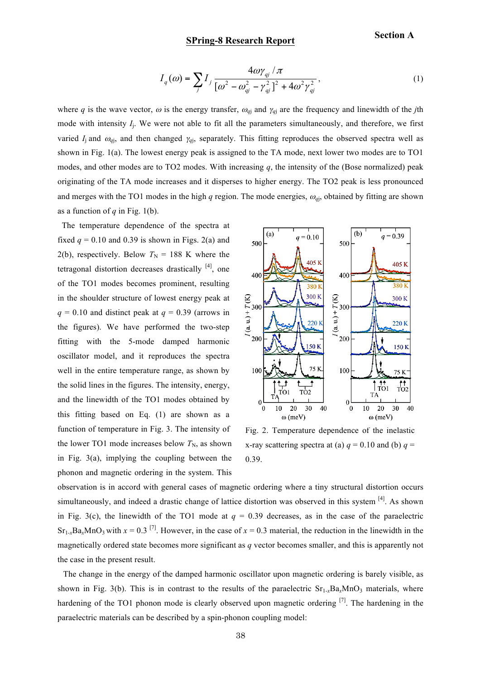## **SPring-8 Research Report**

**Section A**

$$
I_q(\omega) = \sum_j I_j \frac{4\omega\gamma_{qj}/\pi}{\left[\omega^2 - \omega_{qj}^2 - \gamma_{qj}^2\right]^2 + 4\omega^2\gamma_{qj}^2},\tag{1}
$$

where *q* is the wave vector,  $\omega$  is the energy transfer,  $\omega_{q}$  and  $\gamma_{q}$  are the frequency and linewidth of the *j*th mode with intensity *I*j. We were not able to fit all the parameters simultaneously, and therefore, we first varied  $I_j$  and  $\omega_{qj}$ , and then changed  $\gamma_{qj}$ , separately. This fitting reproduces the observed spectra well as shown in Fig. 1(a). The lowest energy peak is assigned to the TA mode, next lower two modes are to TO1 modes, and other modes are to TO2 modes. With increasing *q*, the intensity of the (Bose normalized) peak originating of the TA mode increases and it disperses to higher energy. The TO2 peak is less pronounced and merges with the TO1 modes in the high *q* region. The mode energies,  $\omega_{qi}$ , obtained by fitting are shown as a function of  $q$  in Fig. 1(b).

The temperature dependence of the spectra at fixed  $q = 0.10$  and 0.39 is shown in Figs. 2(a) and 2(b), respectively. Below  $T_N = 188$  K where the tetragonal distortion decreases drastically  $[4]$ , one of the TO1 modes becomes prominent, resulting in the shoulder structure of lowest energy peak at  $q = 0.10$  and distinct peak at  $q = 0.39$  (arrows in the figures). We have performed the two-step fitting with the 5-mode damped harmonic oscillator model, and it reproduces the spectra well in the entire temperature range, as shown by the solid lines in the figures. The intensity, energy, and the linewidth of the TO1 modes obtained by this fitting based on Eq. (1) are shown as a function of temperature in Fig. 3. The intensity of the lower TO1 mode increases below  $T_N$ , as shown in Fig. 3(a), implying the coupling between the phonon and magnetic ordering in the system. This



Fig. 2. Temperature dependence of the inelastic x-ray scattering spectra at (a)  $q = 0.10$  and (b)  $q =$ 0.39.

observation is in accord with general cases of magnetic ordering where a tiny structural distortion occurs simultaneously, and indeed a drastic change of lattice distortion was observed in this system [4]. As shown in Fig. 3(c), the linewidth of the TO1 mode at  $q = 0.39$  decreases, as in the case of the paraelectric  $Sr_{1-x}Ba_xMnO_3$  with  $x = 0.3$  <sup>[7]</sup>. However, in the case of  $x = 0.3$  material, the reduction in the linewidth in the magnetically ordered state becomes more significant as *q* vector becomes smaller, and this is apparently not the case in the present result.

The change in the energy of the damped harmonic oscillator upon magnetic ordering is barely visible, as shown in Fig. 3(b). This is in contrast to the results of the paraelectric  $S_{1-x}Ba_xMnO_3$  materials, where hardening of the TO1 phonon mode is clearly observed upon magnetic ordering <sup>[7]</sup>. The hardening in the paraelectric materials can be described by a spin-phonon coupling model: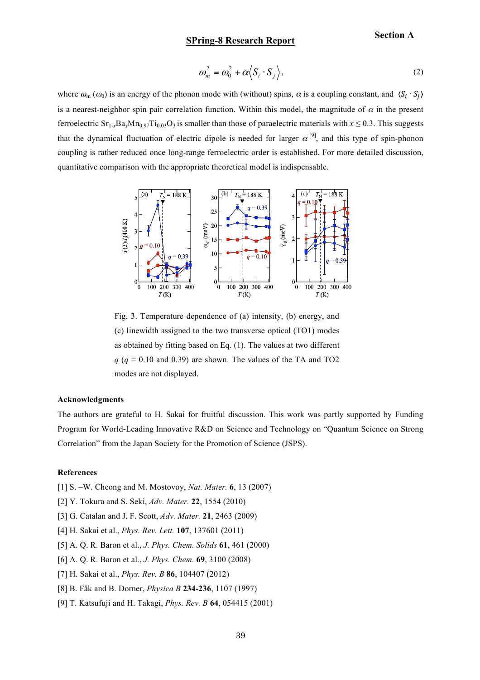# **SPring-8 Research Report**

$$
\omega_m^2 = \omega_0^2 + \alpha \langle S_i \cdot S_j \rangle, \tag{2}
$$

where  $\omega_{\rm m}(\omega_0)$  is an energy of the phonon mode with (without) spins,  $\alpha$  is a coupling constant, and  $\langle S_i \cdot S_j \rangle$ is a nearest-neighbor spin pair correlation function. Within this model, the magnitude of  $\alpha$  in the present ferroelectric  $Sr_{1-x}Ba_xMn_{0.97}Ti_{0.03}O_3$  is smaller than those of paraelectric materials with  $x \le 0.3$ . This suggests that the dynamical fluctuation of electric dipole is needed for larger  $\alpha^{[9]}$ , and this type of spin-phonon coupling is rather reduced once long-range ferroelectric order is established. For more detailed discussion, quantitative comparison with the appropriate theoretical model is indispensable.



Fig. 3. Temperature dependence of (a) intensity, (b) energy, and (c) linewidth assigned to the two transverse optical (TO1) modes as obtained by fitting based on Eq. (1). The values at two different  $q$  ( $q = 0.10$  and 0.39) are shown. The values of the TA and TO2 modes are not displayed.

#### **Acknowledgments**

The authors are grateful to H. Sakai for fruitful discussion. This work was partly supported by Funding Program for World-Leading Innovative R&D on Science and Technology on "Quantum Science on Strong Correlation" from the Japan Society for the Promotion of Science (JSPS).

#### **References**

- [1] S. –W. Cheong and M. Mostovoy, *Nat. Mater.* **6**, 13 (2007)
- [2] Y. Tokura and S. Seki, *Adv. Mater.* **22**, 1554 (2010)
- [3] G. Catalan and J. F. Scott, *Adv. Mater.* **21**, 2463 (2009)
- [4] H. Sakai et al., *Phys. Rev. Lett.* **107**, 137601 (2011)
- [5] A. Q. R. Baron et al., *J. Phys. Chem. Solids* **61**, 461 (2000)
- [6] A. Q. R. Baron et al., *J. Phys. Chem.* **69**, 3100 (2008)
- [7] H. Sakai et al., *Phys. Rev. B* **86**, 104407 (2012)
- [8] B. Fåk and B. Dorner, *Physica B* **234-236**, 1107 (1997)
- [9] T. Katsufuji and H. Takagi, *Phys. Rev. B* **64**, 054415 (2001)